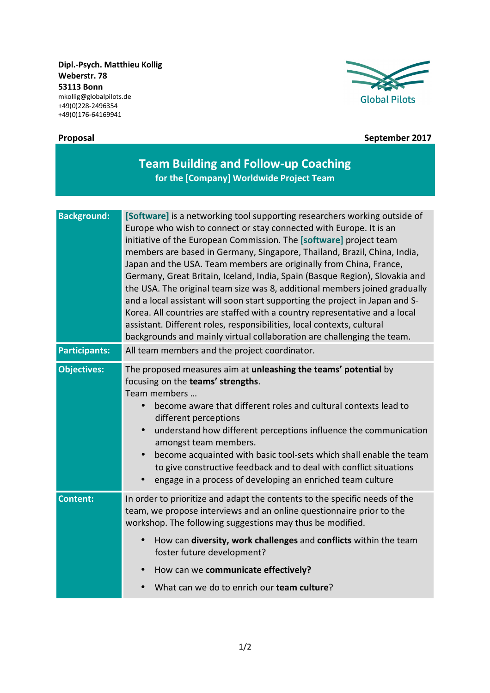**Dipl.-Psych. Matthieu Kollig Weberstr. 78 53113 Bonn**  mkollig@globalpilots.de +49(0)228-2496354 +49(0)176-64169941





## **Proposal September 2017**

| <b>Team Building and Follow-up Coaching</b><br>for the [Company] Worldwide Project Team |                                                                                                                                                                                                                                                                                                                                                                                                                                                                                                                                                                                                                                                                                                                                                                                                                                                        |
|-----------------------------------------------------------------------------------------|--------------------------------------------------------------------------------------------------------------------------------------------------------------------------------------------------------------------------------------------------------------------------------------------------------------------------------------------------------------------------------------------------------------------------------------------------------------------------------------------------------------------------------------------------------------------------------------------------------------------------------------------------------------------------------------------------------------------------------------------------------------------------------------------------------------------------------------------------------|
| <b>Background:</b>                                                                      | [Software] is a networking tool supporting researchers working outside of<br>Europe who wish to connect or stay connected with Europe. It is an<br>initiative of the European Commission. The [software] project team<br>members are based in Germany, Singapore, Thailand, Brazil, China, India,<br>Japan and the USA. Team members are originally from China, France,<br>Germany, Great Britain, Iceland, India, Spain (Basque Region), Slovakia and<br>the USA. The original team size was 8, additional members joined gradually<br>and a local assistant will soon start supporting the project in Japan and S-<br>Korea. All countries are staffed with a country representative and a local<br>assistant. Different roles, responsibilities, local contexts, cultural<br>backgrounds and mainly virtual collaboration are challenging the team. |
| <b>Participants:</b>                                                                    | All team members and the project coordinator.                                                                                                                                                                                                                                                                                                                                                                                                                                                                                                                                                                                                                                                                                                                                                                                                          |
| <b>Objectives:</b>                                                                      | The proposed measures aim at unleashing the teams' potential by<br>focusing on the teams' strengths.<br>Team members<br>become aware that different roles and cultural contexts lead to<br>$\bullet$<br>different perceptions<br>understand how different perceptions influence the communication<br>$\bullet$<br>amongst team members.<br>become acquainted with basic tool-sets which shall enable the team<br>to give constructive feedback and to deal with conflict situations<br>engage in a process of developing an enriched team culture                                                                                                                                                                                                                                                                                                      |
| <b>Content:</b>                                                                         | In order to prioritize and adapt the contents to the specific needs of the<br>team, we propose interviews and an online questionnaire prior to the<br>workshop. The following suggestions may thus be modified.<br>How can diversity, work challenges and conflicts within the team<br>foster future development?<br>How can we communicate effectively?<br>What can we do to enrich our team culture?                                                                                                                                                                                                                                                                                                                                                                                                                                                 |